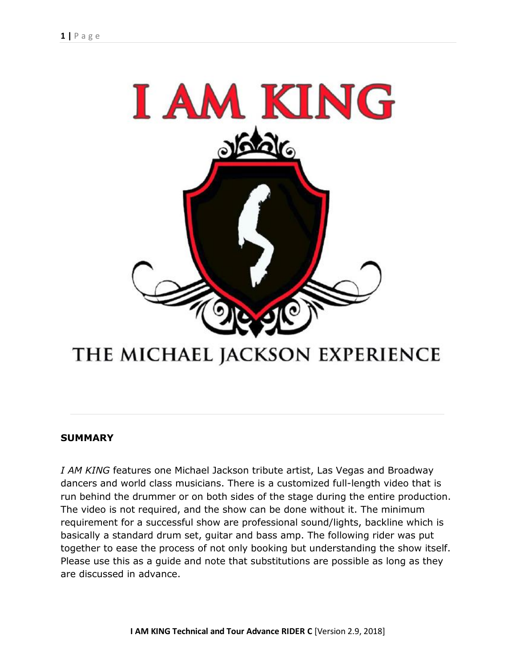

# THE MICHAEL JACKSON EXPERIENCE

## **SUMMARY**

*I AM KING* features one Michael Jackson tribute artist, Las Vegas and Broadway dancers and world class musicians. There is a customized full-length video that is run behind the drummer or on both sides of the stage during the entire production. The video is not required, and the show can be done without it. The minimum requirement for a successful show are professional sound/lights, backline which is basically a standard drum set, guitar and bass amp. The following rider was put together to ease the process of not only booking but understanding the show itself. Please use this as a guide and note that substitutions are possible as long as they are discussed in advance.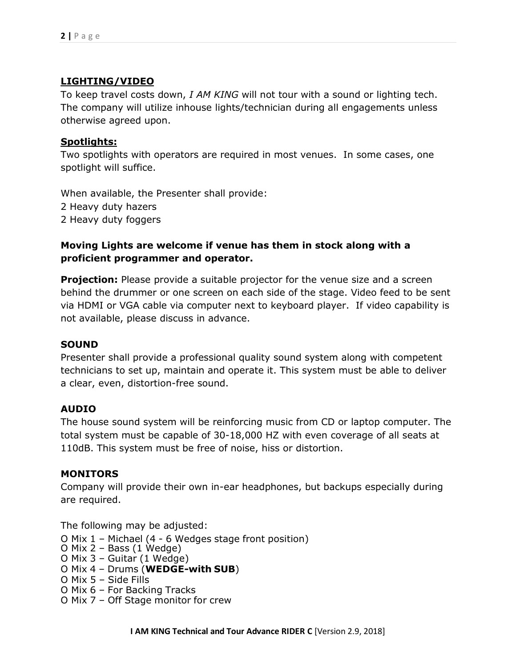## **LIGHTING/VIDEO**

To keep travel costs down, *I AM KING* will not tour with a sound or lighting tech. The company will utilize inhouse lights/technician during all engagements unless otherwise agreed upon.

## **Spotlights:**

Two spotlights with operators are required in most venues. In some cases, one spotlight will suffice.

When available, the Presenter shall provide: 2 Heavy duty hazers 2 Heavy duty foggers

# **Moving Lights are welcome if venue has them in stock along with a proficient programmer and operator.**

**Projection:** Please provide a suitable projector for the venue size and a screen behind the drummer or one screen on each side of the stage. Video feed to be sent via HDMI or VGA cable via computer next to keyboard player. If video capability is not available, please discuss in advance.

## **SOUND**

Presenter shall provide a professional quality sound system along with competent technicians to set up, maintain and operate it. This system must be able to deliver a clear, even, distortion-free sound.

## **AUDIO**

The house sound system will be reinforcing music from CD or laptop computer. The total system must be capable of 30-18,000 HZ with even coverage of all seats at 110dB. This system must be free of noise, hiss or distortion.

## **MONITORS**

Company will provide their own in-ear headphones, but backups especially during are required.

The following may be adjusted:

- O Mix 1 Michael (4 6 Wedges stage front position)
- O Mix 2 Bass (1 Wedge)
- O Mix 3 Guitar (1 Wedge)
- O Mix 4 Drums (**WEDGE-with SUB**)
- O Mix 5 Side Fills
- O Mix 6 For Backing Tracks
- O Mix 7 Off Stage monitor for crew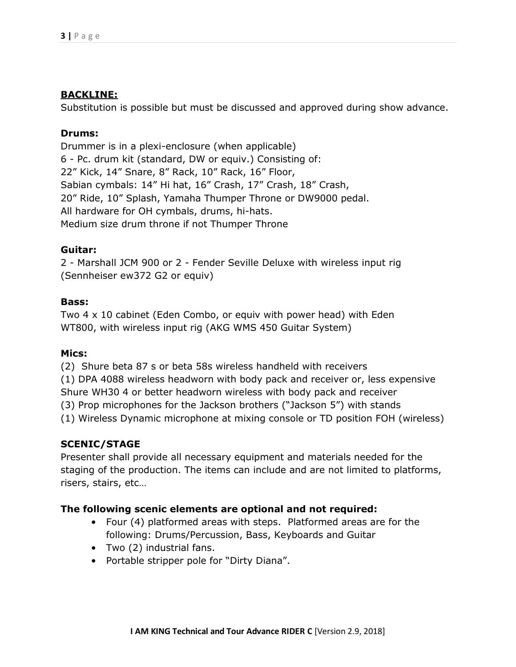## **BACKLINE:**

Substitution is possible but must be discussed and approved during show advance.

## **Drums:**

Drummer is in a plexi-enclosure (when applicable) 6 - Pc. drum kit (standard, DW or equiv.) Consisting of: 22" Kick, 14" Snare, 8" Rack, 10" Rack, 16" Floor, Sabian cymbals: 14" Hi hat, 16" Crash, 17" Crash, 18" Crash, 20" Ride, 10" Splash, Yamaha Thumper Throne or DW9000 pedal. All hardware for OH cymbals, drums, hi-hats. Medium size drum throne if not Thumper Throne

## **Guitar:**

2 - Marshall JCM 900 or 2 - Fender Seville Deluxe with wireless input rig (Sennheiser ew372 G2 or equiv)

## **Bass:**

Two 4 x 10 cabinet (Eden Combo, or equiv with power head) with Eden WT800, with wireless input rig (AKG WMS 450 Guitar System)

#### **Mics:**

(2) Shure beta 87 s or beta 58s wireless handheld with receivers

(1) DPA 4088 wireless headworn with body pack and receiver or, less expensive

Shure WH30 4 or better headworn wireless with body pack and receiver

(3) Prop microphones for the Jackson brothers ("Jackson 5") with stands

(1) Wireless Dynamic microphone at mixing console or TD position FOH (wireless)

## **SCENIC/STAGE**

Presenter shall provide all necessary equipment and materials needed for the staging of the production. The items can include and are not limited to platforms, risers, stairs, etc…

## **The following scenic elements are optional and not required:**

- Four (4) platformed areas with steps. Platformed areas are for the following: Drums/Percussion, Bass, Keyboards and Guitar
- Two (2) industrial fans.
- Portable stripper pole for "Dirty Diana".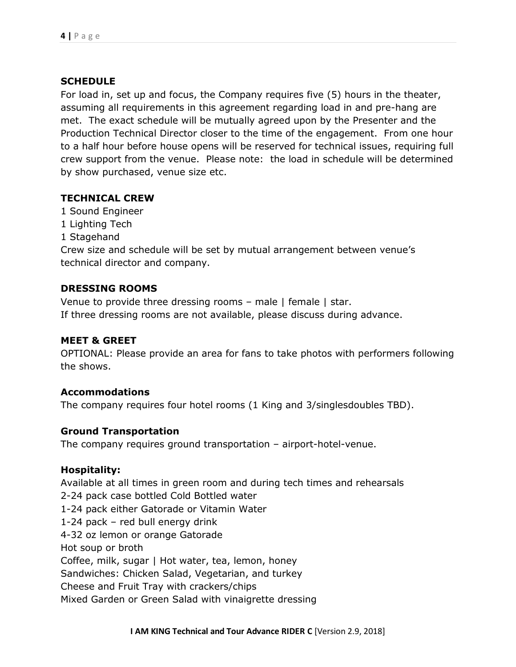## **SCHEDULE**

For load in, set up and focus, the Company requires five (5) hours in the theater, assuming all requirements in this agreement regarding load in and pre-hang are met. The exact schedule will be mutually agreed upon by the Presenter and the Production Technical Director closer to the time of the engagement. From one hour to a half hour before house opens will be reserved for technical issues, requiring full crew support from the venue. Please note: the load in schedule will be determined by show purchased, venue size etc.

## **TECHNICAL CREW**

- 1 Sound Engineer
- 1 Lighting Tech
- 1 Stagehand

Crew size and schedule will be set by mutual arrangement between venue's technical director and company.

## **DRESSING ROOMS**

Venue to provide three dressing rooms – male | female | star. If three dressing rooms are not available, please discuss during advance.

## **MEET & GREET**

OPTIONAL: Please provide an area for fans to take photos with performers following the shows.

## **Accommodations**

The company requires four hotel rooms (1 King and 3/singlesdoubles TBD).

## **Ground Transportation**

The company requires ground transportation – airport-hotel-venue.

## **Hospitality:**

Available at all times in green room and during tech times and rehearsals 2-24 pack case bottled Cold Bottled water 1-24 pack either Gatorade or Vitamin Water 1-24 pack – red bull energy drink 4-32 oz lemon or orange Gatorade Hot soup or broth Coffee, milk, sugar | Hot water, tea, lemon, honey Sandwiches: Chicken Salad, Vegetarian, and turkey Cheese and Fruit Tray with crackers/chips Mixed Garden or Green Salad with vinaigrette dressing